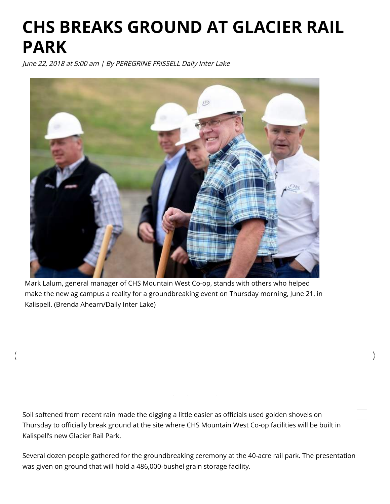## CHS BREAKS GROUND AT GLACIER RAIL PARK

June 22, 2018 at 5:00 am | By PEREGRINE FRISSELL Daily Inter Lake



Mark Lalum, general manager of CHS Mountain West Co-op, stands with others who helped make the new ag campus a reality for a groundbreaking event on Thursday morning, June 21, in Kalispell. (Brenda Ahearn/Daily Inter Lake)

Soil softened from recent rain made the digging a little easier as officials used golden shovels on Thursday to officially break ground at the site where CHS Mountain West Co-op facilities will be built in Kalispell's new Glacier Rail Park.

Several dozen people gathered for the groundbreaking ceremony at the 40-acre rail park. The presentation was given on ground that will hold a 486,000-bushel grain storage facility.

 $\langle$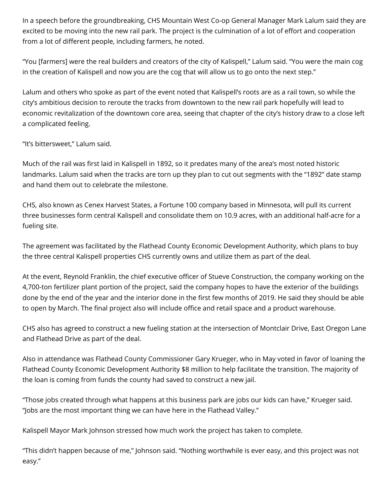In a speech before the groundbreaking, CHS Mountain West Co-op General Manager Mark Lalum said they are excited to be moving into the new rail park. The project is the culmination of a lot of effort and cooperation from a lot of different people, including farmers, he noted.

"You [farmers] were the real builders and creators of the city of Kalispell," Lalum said. "You were the main cog in the creation of Kalispell and now you are the cog that will allow us to go onto the next step."

Lalum and others who spoke as part of the event noted that Kalispell's roots are as a rail town, so while the city's ambitious decision to reroute the tracks from downtown to the new rail park hopefully will lead to economic revitalization of the downtown core area, seeing that chapter of the city's history draw to a close left a complicated feeling.

"It's bittersweet," Lalum said.

Much of the rail was first laid in Kalispell in 1892, so it predates many of the area's most noted historic landmarks. Lalum said when the tracks are torn up they plan to cut out segments with the "1892" date stamp and hand them out to celebrate the milestone.

CHS, also known as Cenex Harvest States, a Fortune 100 company based in Minnesota, will pull its current three businesses form central Kalispell and consolidate them on 10.9 acres, with an additional half-acre for a fueling site.

The agreement was facilitated by the Flathead County Economic Development Authority, which plans to buy the three central Kalispell properties CHS currently owns and utilize them as part of the deal.

At the event, Reynold Franklin, the chief executive officer of Stueve Construction, the company working on the 4,700-ton fertilizer plant portion of the project, said the company hopes to have the exterior of the buildings done by the end of the year and the interior done in the first few months of 2019. He said they should be able to open by March. The final project also will include office and retail space and a product warehouse.

CHS also has agreed to construct a new fueling station at the intersection of Montclair Drive, East Oregon Lane and Flathead Drive as part of the deal.

Also in attendance was Flathead County Commissioner Gary Krueger, who in May voted in favor of loaning the Flathead County Economic Development Authority \$8 million to help facilitate the transition. The majority of the loan is coming from funds the county had saved to construct a new jail.

"Those jobs created through what happens at this business park are jobs our kids can have," Krueger said. "Jobs are the most important thing we can have here in the Flathead Valley."

Kalispell Mayor Mark Johnson stressed how much work the project has taken to complete.

"This didn't happen because of me," Johnson said. "Nothing worthwhile is ever easy, and this project was not easy."